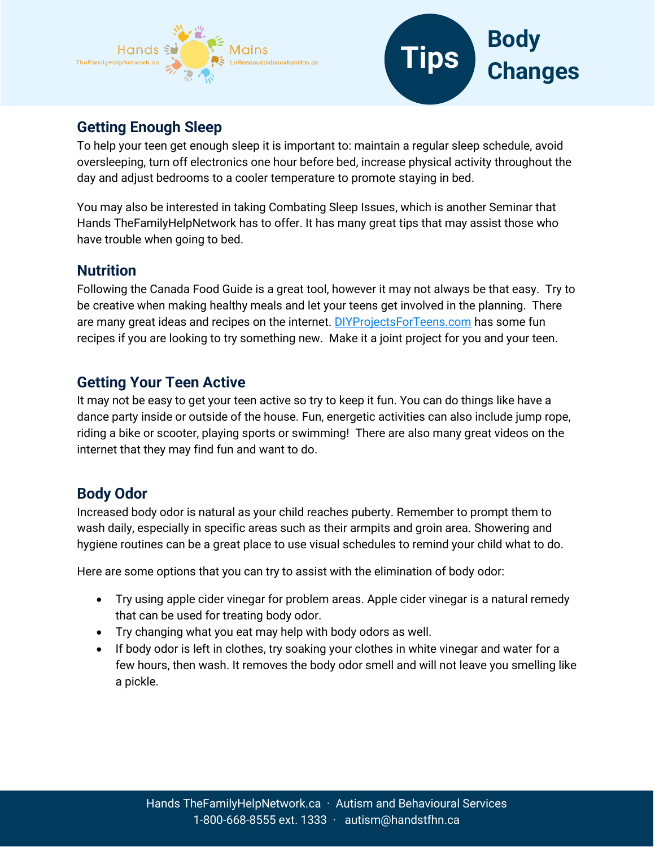



# **Getting Enough Sleep**

To help your teen get enough sleep it is important to: maintain a regular sleep schedule, avoid oversleeping, turn off electronics one hour before bed, increase physical activity throughout the day and adjust bedrooms to a cooler temperature to promote staying in bed.

You may also be interested in taking Combating Sleep Issues, which is another Seminar that Hands TheFamilyHelpNetwork has to offer. It has many great tips that may assist those who have trouble when going to bed.

#### **Nutrition**

Following the Canada Food Guide is a great tool, however it may not always be that easy. Try to be creative when making healthy meals and let your teens get involved in the planning. There are many great ideas and recipes on the internet. [DIYProjectsForTeens.com](https://diyprojectsforteens.com/diy-recipes-teens/) has some fun recipes if you are looking to try something new. Make it a joint project for you and your teen.

### **Getting Your Teen Active**

It may not be easy to get your teen active so try to keep it fun. You can do things like have a dance party inside or outside of the house. Fun, energetic activities can also include jump rope, riding a bike or scooter, playing sports or swimming! There are also many great videos on the internet that they may find fun and want to do.

#### **Body Odor**

Increased body odor is natural as your child reaches puberty. Remember to prompt them to wash daily, especially in specific areas such as their armpits and groin area. Showering and hygiene routines can be a great place to use visual schedules to remind your child what to do.

Here are some options that you can try to assist with the elimination of body odor:

- Try using apple cider vinegar for problem areas. Apple cider vinegar is a natural remedy that can be used for treating body odor.
- Try changing what you eat may help with body odors as well.
- If body odor is left in clothes, try soaking your clothes in white vinegar and water for a few hours, then wash. It removes the body odor smell and will not leave you smelling like a pickle.